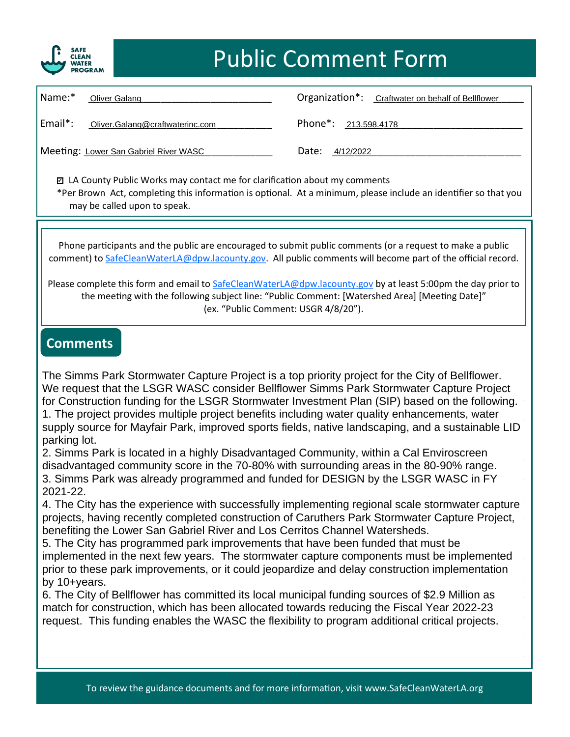

## **Public Comment Form**  Public Comment Form

| Name:*                                | Oliver Galang                   |                                   | Organization*: Craftwater on behalf of Bellflower |
|---------------------------------------|---------------------------------|-----------------------------------|---------------------------------------------------|
| Email*:                               | Oliver.Galang@craftwaterinc.com | Phone <sup>*</sup> : 213.598.4178 |                                                   |
| Meeting: Lower San Gabriel River WASC |                                 | Date:<br>4/12/2022                |                                                   |

❑ **LA County Public Works may contact me for clarification about my comments**  □ LA County Public Works may contact me for clarification about my comments ✔ \*Per Brown Act, completing this information is optional. At a minimum, please include an identifier so that you<br>may be called upon to speak. **may be called upon to speak.** 

**Phone participants and the public are encouraged to submit public comments (or a request to make a public**  Phone par[ticipants and the public are encouraged](mailto:SafeCleanWaterLA@dpw.lacounty.gov) to submit public comments (or a request to make a public<br>comment) to [SafeCleanWaterLA@dpw.lacounty.gov.](mailto:SafeCleanWaterLA@dpw.lacounty.gov) All public comments will become part of the official record.

Please complete this form and email to [SafeCleanWaterLA@dpw.lacounty.gov](mailto:SafeCleanWaterLA@dpw.lacounty.gov)</u> by at least 5:00pm the day prior to **the meeting with the following subject line: "Public Comment: [Watershed Area] [Meeting Date]"**  the meeting with the following subject line: "Public Comment: [Watershed Area] [Meeting Date]" **(ex. "Public Comment: USGR 4/8/20").**  (ex. "Public Comment: USGR 4/8/20").

## **Comments Comments**

The Simms Park Stormwater Capture Project is a top priority project for the City of Bellflower. We request that the LSGR WASC consider Bellflower Simms Park Stormwater Capture Project<br>for Construction funding for the LSCR Stermuster Investment Plan (SIR) begad an the following 1. The project provides multiple project benefits including water quality enhancements, water supply source for Mayfair Park, improved sports fields, native landscaping, and a sustainable LID<br>norking lot for Construction funding for the LSGR Stormwater Investment Plan (SIP) based on the following. parking lot.

parking iot.<br>2. Simms Park is located in a highly Disadvantaged Community, within a Cal Enviroscreen disadvantaged community score in the 70-80% with surrounding areas in the 80-90% range.<br>3. Simms Park was already programmed and funded for DESIGN by the LSGR WASC in EX 3. Simms Park was already programmed and funded for DESIGN by the LSGR WASC in FY<br>2021-22. 2021-22.

4. The City has the experience with successfully implementing regional scale stormwater capture<br>projects, having receptly completed construction of Caruthers Park Stormwater Capture Project projecte, having recently completed concluded for originations rain creminater capture ricject, projects, having recently completed construction of Caruthers Park Stormwater Capture Project,

5. The City has programmed park improvements that have been funded that must be<br>implemented in the next few years. The stormwater capture components must be implemented magnetic in the next can general the communication support compensation implementation prior to these park improvements, or it could jeopardize and delay construction implementation 5. The City has programmed park improvements that have been funded that must be by 10+years.

by 10+years.<br>6. The City of Bellflower has committed its local municipal funding sources of \$2.9 Million as match for construction, which has been allocated towards reducing the Fiscal Year 2022-23 request. This funding enables the WASC the flexibility to program additional critical projects.